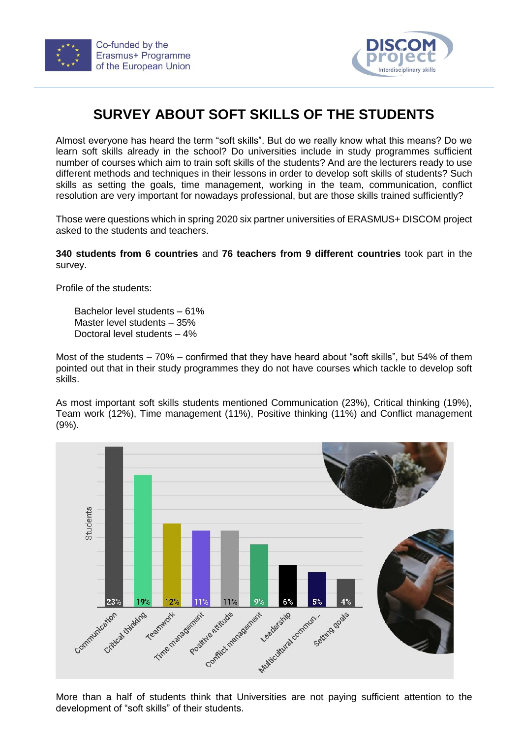



## **SURVEY ABOUT SOFT SKILLS OF THE STUDENTS**

Almost everyone has heard the term "soft skills". But do we really know what this means? Do we learn soft skills already in the school? Do universities include in study programmes sufficient number of courses which aim to train soft skills of the students? And are the lecturers ready to use different methods and techniques in their lessons in order to develop soft skills of students? Such skills as setting the goals, time management, working in the team, communication, conflict resolution are very important for nowadays professional, but are those skills trained sufficiently?

Those were questions which in spring 2020 six partner universities of ERASMUS+ DISCOM project asked to the students and teachers.

**340 students from 6 countries** and **76 teachers from 9 different countries** took part in the survey.

Profile of the students:

Bachelor level students – 61% Master level students – 35% Doctoral level students – 4%

Most of the students – 70% – confirmed that they have heard about "soft skills", but 54% of them pointed out that in their study programmes they do not have courses which tackle to develop soft skills.

As most important soft skills students mentioned Communication (23%), Critical thinking (19%), Team work (12%), Time management (11%), Positive thinking (11%) and Conflict management (9%).



More than a half of students think that Universities are not paying sufficient attention to the development of "soft skills" of their students.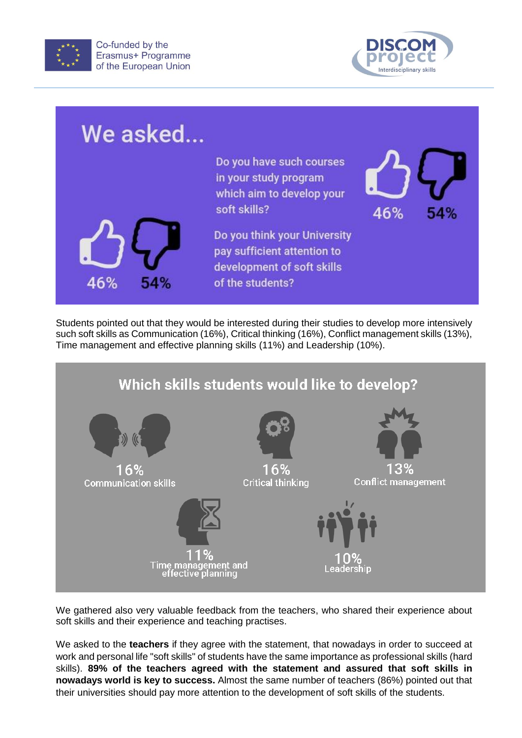



| We asked   |                                                                                                               |     |     |
|------------|---------------------------------------------------------------------------------------------------------------|-----|-----|
|            | Do you have such courses<br>in your study program<br>which aim to develop your<br>soft skills?                | 46% | 54% |
| 46%<br>54% | Do you think your University<br>pay sufficient attention to<br>development of soft skills<br>of the students? |     |     |

Students pointed out that they would be interested during their studies to develop more intensively such soft skills as Communication (16%), Critical thinking (16%), Conflict management skills (13%), Time management and effective planning skills (11%) and Leadership (10%).



We gathered also very valuable feedback from the teachers, who shared their experience about soft skills and their experience and teaching practises.

We asked to the **teachers** if they agree with the statement, that nowadays in order to succeed at work and personal life "soft skills" of students have the same importance as professional skills (hard skills). **89% of the teachers agreed with the statement and assured that soft skills in nowadays world is key to success.** Almost the same number of teachers (86%) pointed out that their universities should pay more attention to the development of soft skills of the students.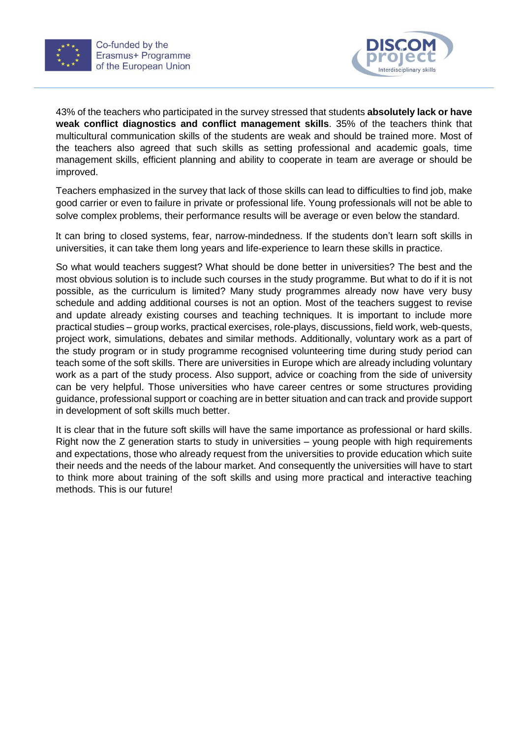



43% of the teachers who participated in the survey stressed that students **absolutely lack or have weak conflict diagnostics and conflict management skills**. 35% of the teachers think that multicultural communication skills of the students are weak and should be trained more. Most of the teachers also agreed that such skills as setting professional and academic goals, time management skills, efficient planning and ability to cooperate in team are average or should be improved.

Teachers emphasized in the survey that lack of those skills can lead to difficulties to find job, make good carrier or even to failure in private or professional life. Young professionals will not be able to solve complex problems, their performance results will be average or even below the standard.

It can bring to closed systems, fear, narrow-mindedness. If the students don't learn soft skills in universities, it can take them long years and life-experience to learn these skills in practice.

So what would teachers suggest? What should be done better in universities? The best and the most obvious solution is to include such courses in the study programme. But what to do if it is not possible, as the curriculum is limited? Many study programmes already now have very busy schedule and adding additional courses is not an option. Most of the teachers suggest to revise and update already existing courses and teaching techniques. It is important to include more practical studies – group works, practical exercises, role-plays, discussions, field work, web-quests, project work, simulations, debates and similar methods. Additionally, voluntary work as a part of the study program or in study programme recognised volunteering time during study period can teach some of the soft skills. There are universities in Europe which are already including voluntary work as a part of the study process. Also support, advice or coaching from the side of university can be very helpful. Those universities who have career centres or some structures providing guidance, professional support or coaching are in better situation and can track and provide support in development of soft skills much better.

It is clear that in the future soft skills will have the same importance as professional or hard skills. Right now the Z generation starts to study in universities – young people with high requirements and expectations, those who already request from the universities to provide education which suite their needs and the needs of the labour market. And consequently the universities will have to start to think more about training of the soft skills and using more practical and interactive teaching methods. This is our future!